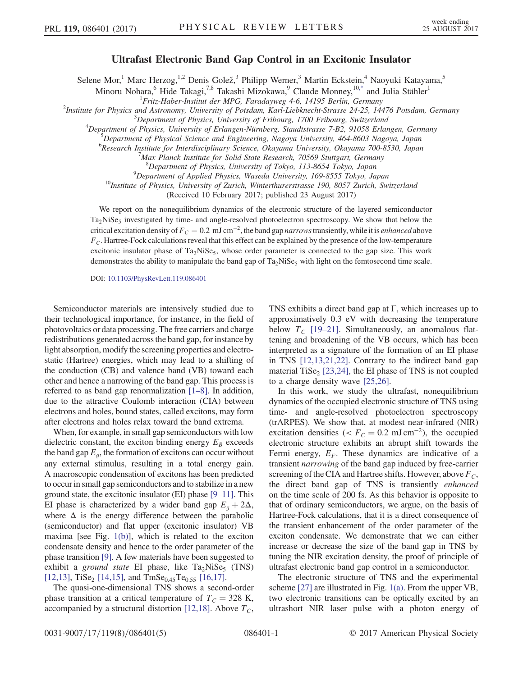## Ultrafast Electronic Band Gap Control in an Excitonic Insulator

Selene Mor,<sup>1</sup> Marc Herzog,<sup>1,2</sup> Denis Golež,<sup>3</sup> Philipp Werner,<sup>3</sup> Martin Eckstein,<sup>4</sup> Naoyuki Katayama,<sup>5</sup>

Minoru Nohara, <sup>6</sup> Hide Takagi, <sup>7,8</sup> Takashi Mizokawa, <sup>9</sup> Claude Monney, <sup>1[0,\\*](#page-4-0)</sup> and Julia Stähler<sup>1</sup>

<span id="page-0-0"></span><sup>1</sup>Fritz-Haber-Institut der MPG, Faradayweg 4-6, 14195 Berlin, Germany<br><sup>2</sup>Institute for Physics and Astronomy University of Potedam, Karl Liebknecht Strasse 24.25, 144

<sup>2</sup>Institute for Physics and Astronomy, University of Potsdam, Karl-Liebknecht-Strasse 24-25, 14476 Potsdam, Germany

<sup>3</sup>Department of Physics, University of Fribourg, 1700 Fribourg, Switzerland

 $^{4}$ Department of Physics, University of Erlangen-Nürnberg, Staudtstrasse 7-B2, 91058 Erlangen, Germany

<sup>5</sup>Department of Physical Science and Engineering, Nagoya University, 464-8603 Nagoya, Japan

<sup>6</sup> Research Institute for Interdisciplinary Science, Okayama University, Okayama 700-8530, Japan <sup>7</sup>Max Planek Institute for Solid State Pessaggab 70560 Stuttgart Corporation

Max Planck Institute for Solid State Research, 70569 Stuttgart, Germany

<sup>8</sup> Department of Physics, University of Tokyo, 113-8654 Tokyo, Japan

<sup>9</sup>Department of Applied Physics, Waseda University, 169-8555 Tokyo, Japan <sup>10</sup>Institute of Physics, University of Zurich, Winterthurerstrasse 190, 8057 Zurich, Switzerland

(Received 10 February 2017; published 23 August 2017)

We report on the nonequilibrium dynamics of the electronic structure of the layered semiconductor  $Ta_2NiSe_5$  investigated by time- and angle-resolved photoelectron spectroscopy. We show that below the critical excitation density of  $F_C = 0.2 \text{ mJ cm}^{-2}$ , the band gap *narrows* transiently, while it is *enhanced* above  $F<sub>C</sub>$ . Hartree-Fock calculations reveal that this effect can be explained by the presence of the low-temperature excitonic insulator phase of  $Ta_2NiSe_5$ , whose order parameter is connected to the gap size. This work demonstrates the ability to manipulate the band gap of  $Ta_2NiSe_5$  with light on the femtosecond time scale.

DOI: [10.1103/PhysRevLett.119.086401](https://doi.org/10.1103/PhysRevLett.119.086401)

Semiconductor materials are intensively studied due to their technological importance, for instance, in the field of photovoltaics or data processing. The free carriers and charge redistributions generated across the band gap, for instance by light absorption, modify the screening properties and electrostatic (Hartree) energies, which may lead to a shifting of the conduction (CB) and valence band (VB) toward each other and hence a narrowing of the band gap. This process is referred to as band gap renormalization [1–[8\].](#page-4-1) In addition, due to the attractive Coulomb interaction (CIA) between electrons and holes, bound states, called excitons, may form after electrons and holes relax toward the band extrema.

When, for example, in small gap semiconductors with low dielectric constant, the exciton binding energy  $E_B$  exceeds the band gap  $E_q$ , the formation of excitons can occur without any external stimulus, resulting in a total energy gain. A macroscopic condensation of excitons has been predicted to occur in small gap semiconductors and to stabilize in a new ground state, the excitonic insulator (EI) phase [9–[11\].](#page-4-2) This EI phase is characterized by a wider band gap  $E<sub>q</sub> + 2\Delta$ , where  $\Delta$  is the energy difference between the parabolic (semiconductor) and flat upper (excitonic insulator) VB maxima [see Fig.  $1(b)$ ], which is related to the exciton condensate density and hence to the order parameter of the phase transition [\[9\].](#page-4-2) A few materials have been suggested to exhibit a ground state EI phase, like  $Ta_2NiSe_5$  (TNS) [\[12,13\]](#page-4-3), TiSe<sub>2</sub> [\[14,15\]](#page-4-4), and TmSe<sub>0.45</sub>Te<sub>0.55</sub> [\[16,17\]](#page-4-5).

The quasi-one-dimensional TNS shows a second-order phase transition at a critical temperature of  $T_c = 328$  K, accompanied by a structural distortion [\[12,18\].](#page-4-3) Above  $T_c$ , TNS exhibits a direct band gap at Γ, which increases up to approximatively 0.3 eV with decreasing the temperature below  $T_c$  [19–[21\].](#page-4-6) Simultaneously, an anomalous flattening and broadening of the VB occurs, which has been interpreted as a signature of the formation of an EI phase in TNS [\[12,13,21,22\].](#page-4-3) Contrary to the indirect band gap material TiSe<sub>2</sub> [\[23,24\]](#page-4-7), the EI phase of TNS is not coupled to a charge density wave [\[25,26\].](#page-4-8)

In this work, we study the ultrafast, nonequilibrium dynamics of the occupied electronic structure of TNS using time- and angle-resolved photoelectron spectroscopy (trARPES). We show that, at modest near-infrared (NIR) excitation densities (<  $F_c = 0.2$  mJ cm<sup>-2</sup>), the occupied electronic structure exhibits an abrupt shift towards the Fermi energy,  $E_F$ . These dynamics are indicative of a transient narrowing of the band gap induced by free-carrier screening of the CIA and Hartree shifts. However, above  $F_C$ , the direct band gap of TNS is transiently enhanced on the time scale of 200 fs. As this behavior is opposite to that of ordinary semiconductors, we argue, on the basis of Hartree-Fock calculations, that it is a direct consequence of the transient enhancement of the order parameter of the exciton condensate. We demonstrate that we can either increase or decrease the size of the band gap in TNS by tuning the NIR excitation density, the proof of principle of ultrafast electronic band gap control in a semiconductor.

The electronic structure of TNS and the experimental scheme [\[27\]](#page-4-9) are illustrated in Fig. [1\(a\)](#page-1-0). From the upper VB, two electronic transitions can be optically excited by an ultrashort NIR laser pulse with a photon energy of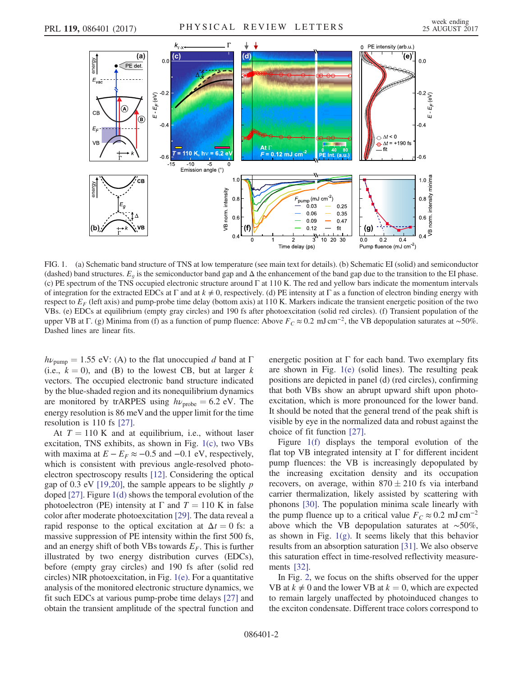<span id="page-1-0"></span>

FIG. 1. (a) Schematic band structure of TNS at low temperature (see main text for details). (b) Schematic EI (solid) and semiconductor (dashed) band structures.  $E_q$  is the semiconductor band gap and  $\Delta$  the enhancement of the band gap due to the transition to the EI phase. (c) PE spectrum of the TNS occupied electronic structure around Γ at 110 K. The red and yellow bars indicate the momentum intervals of integration for the extracted EDCs at Γ and at  $k \neq 0$ , respectively. (d) PE intensity at Γ as a function of electron binding energy with respect to  $E_F$  (left axis) and pump-probe time delay (bottom axis) at 110 K. Markers indicate the transient energetic position of the two VBs. (e) EDCs at equilibrium (empty gray circles) and 190 fs after photoexcitation (solid red circles). (f) Transient population of the upper VB at Γ. (g) Minima from (f) as a function of pump fluence: Above  $F_C \approx 0.2$  mJ cm<sup>-2</sup>, the VB depopulation saturates at ~50%. Dashed lines are linear fits.

 $h\nu_{\text{pump}} = 1.55 \text{ eV}$ : (A) to the flat unoccupied d band at Γ (i.e.,  $k = 0$ ), and (B) to the lowest CB, but at larger k vectors. The occupied electronic band structure indicated by the blue-shaded region and its nonequilibrium dynamics are monitored by trARPES using  $h\nu_{\text{probe}} = 6.2$  eV. The energy resolution is 86 meV and the upper limit for the time resolution is 110 fs [\[27\]](#page-4-9).

At  $T = 110$  K and at equilibrium, i.e., without laser excitation, TNS exhibits, as shown in Fig. [1\(c\),](#page-1-0) two VBs with maxima at  $E - E_F \approx -0.5$  and  $-0.1$  eV, respectively, which is consistent with previous angle-resolved photoelectron spectroscopy results [\[12\]](#page-4-3). Considering the optical gap of 0.3 eV [\[19,20\],](#page-4-6) the sample appears to be slightly  $p$ doped [\[27\]](#page-4-9). Figure [1\(d\)](#page-1-0) shows the temporal evolution of the photoelectron (PE) intensity at  $\Gamma$  and  $T = 110$  K in false color after moderate photoexcitation [\[29\].](#page-4-10) The data reveal a rapid response to the optical excitation at  $\Delta t = 0$  fs: a massive suppression of PE intensity within the first 500 fs, and an energy shift of both VBs towards  $E_F$ . This is further illustrated by two energy distribution curves (EDCs), before (empty gray circles) and 190 fs after (solid red circles) NIR photoexcitation, in Fig. [1\(e\)](#page-1-0). For a quantitative analysis of the monitored electronic structure dynamics, we fit such EDCs at various pump-probe time delays [\[27\]](#page-4-9) and obtain the transient amplitude of the spectral function and energetic position at  $\Gamma$  for each band. Two exemplary fits are shown in Fig. [1\(e\)](#page-1-0) (solid lines). The resulting peak positions are depicted in panel (d) (red circles), confirming that both VBs show an abrupt upward shift upon photoexcitation, which is more pronounced for the lower band. It should be noted that the general trend of the peak shift is visible by eye in the normalized data and robust against the choice of fit function [\[27\].](#page-4-9)

Figure [1\(f\)](#page-1-0) displays the temporal evolution of the flat top VB integrated intensity at  $\Gamma$  for different incident pump fluences: the VB is increasingly depopulated by the increasing excitation density and its occupation recovers, on average, within  $870 \pm 210$  fs via interband carrier thermalization, likely assisted by scattering with phonons [\[30\].](#page-4-11) The population minima scale linearly with the pump fluence up to a critical value  $F_C \approx 0.2 \text{ mJ cm}^{-2}$ above which the VB depopulation saturates at ∼50%, as shown in Fig.  $1(g)$ . It seems likely that this behavior results from an absorption saturation [\[31\].](#page-4-12) We also observe this saturation effect in time-resolved reflectivity measurements [\[32\]](#page-4-13).

In Fig. [2](#page-2-0), we focus on the shifts observed for the upper VB at  $k \neq 0$  and the lower VB at  $k = 0$ , which are expected to remain largely unaffected by photoinduced changes to the exciton condensate. Different trace colors correspond to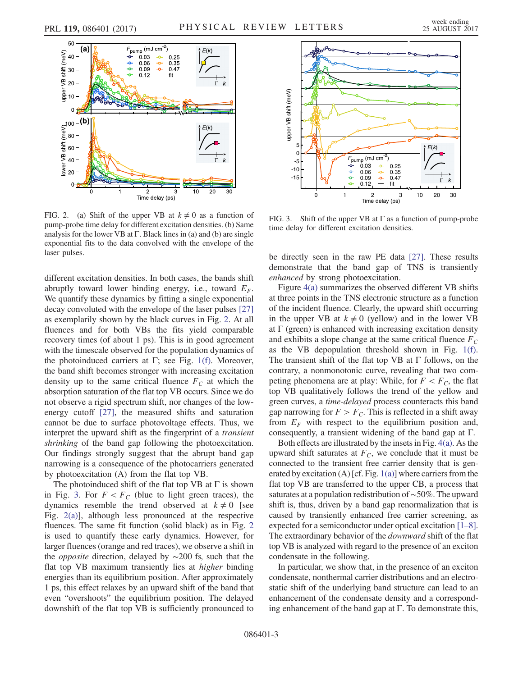<span id="page-2-0"></span>

FIG. 2. (a) Shift of the upper VB at  $k \neq 0$  as a function of pump-probe time delay for different excitation densities. (b) Same analysis for the lower VB at  $\Gamma$ . Black lines in (a) and (b) are single exponential fits to the data convolved with the envelope of the laser pulses.

different excitation densities. In both cases, the bands shift abruptly toward lower binding energy, i.e., toward  $E_F$ . We quantify these dynamics by fitting a single exponential decay convoluted with the envelope of the laser pulses [\[27\]](#page-4-9) as exemplarily shown by the black curves in Fig. [2.](#page-2-0) At all fluences and for both VBs the fits yield comparable recovery times (of about 1 ps). This is in good agreement with the timescale observed for the population dynamics of the photoinduced carriers at Γ; see Fig. [1\(f\).](#page-1-0) Moreover, the band shift becomes stronger with increasing excitation density up to the same critical fluence  $F_C$  at which the absorption saturation of the flat top VB occurs. Since we do not observe a rigid spectrum shift, nor changes of the lowenergy cutoff [\[27\],](#page-4-9) the measured shifts and saturation cannot be due to surface photovoltage effects. Thus, we interpret the upward shift as the fingerprint of a transient shrinking of the band gap following the photoexcitation. Our findings strongly suggest that the abrupt band gap narrowing is a consequence of the photocarriers generated by photoexcitation (A) from the flat top VB.

The photoinduced shift of the flat top VB at  $\Gamma$  is shown in Fig. [3](#page-2-1). For  $F < F_C$  (blue to light green traces), the dynamics resemble the trend observed at  $k \neq 0$  [see Fig. [2\(a\)](#page-2-0)], although less pronounced at the respective fluences. The same fit function (solid black) as in Fig. [2](#page-2-0) is used to quantify these early dynamics. However, for larger fluences (orange and red traces), we observe a shift in the opposite direction, delayed by ∼200 fs, such that the flat top VB maximum transiently lies at higher binding energies than its equilibrium position. After approximately 1 ps, this effect relaxes by an upward shift of the band that even "overshoots" the equilibrium position. The delayed downshift of the flat top VB is sufficiently pronounced to

<span id="page-2-1"></span>

FIG. 3. Shift of the upper VB at  $\Gamma$  as a function of pump-probe time delay for different excitation densities.

be directly seen in the raw PE data [\[27\]](#page-4-9). These results demonstrate that the band gap of TNS is transiently enhanced by strong photoexcitation.

Figure [4\(a\)](#page-3-0) summarizes the observed different VB shifts at three points in the TNS electronic structure as a function of the incident fluence. Clearly, the upward shift occurring in the upper VB at  $k \neq 0$  (yellow) and in the lower VB at  $\Gamma$  (green) is enhanced with increasing excitation density and exhibits a slope change at the same critical fluence  $F_C$ as the VB depopulation threshold shown in Fig. [1\(f\)](#page-1-0). The transient shift of the flat top VB at  $\Gamma$  follows, on the contrary, a nonmonotonic curve, revealing that two competing phenomena are at play: While, for  $F < F<sub>C</sub>$ , the flat top VB qualitatively follows the trend of the yellow and green curves, a time-delayed process counteracts this band gap narrowing for  $F > F_C$ . This is reflected in a shift away from  $E_F$  with respect to the equilibrium position and, consequently, a transient widening of the band gap at Γ.

Both effects are illustrated by the insets in Fig. [4\(a\).](#page-3-0) As the upward shift saturates at  $F_C$ , we conclude that it must be connected to the transient free carrier density that is generated by excitation  $(A)$  [cf. Fig. [1\(a\)\]](#page-1-0) where carriers from the flat top VB are transferred to the upper CB, a process that saturates at a population redistribution of∼50%. The upward shift is, thus, driven by a band gap renormalization that is caused by transiently enhanced free carrier screening, as expected for a semiconductor under optical excitation [\[1](#page-4-1)–8]. The extraordinary behavior of the downward shift of the flat top VB is analyzed with regard to the presence of an exciton condensate in the following.

In particular, we show that, in the presence of an exciton condensate, nonthermal carrier distributions and an electrostatic shift of the underlying band structure can lead to an enhancement of the condensate density and a corresponding enhancement of the band gap at  $\Gamma$ . To demonstrate this,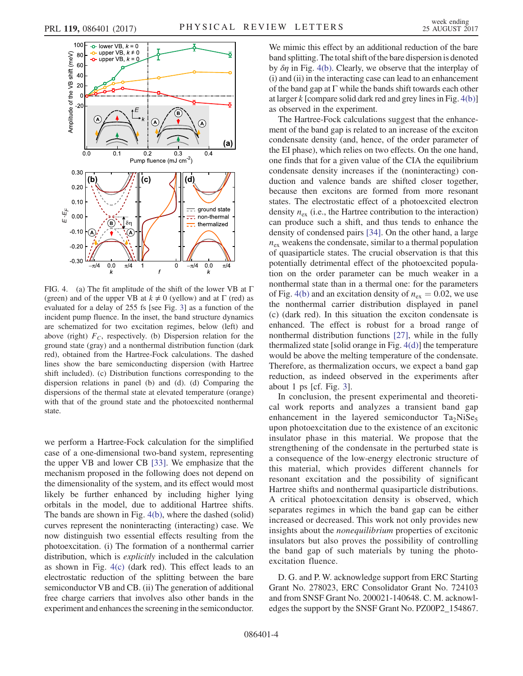

<span id="page-3-0"></span>

FIG. 4. (a) The fit amplitude of the shift of the lower VB at Γ (green) and of the upper VB at  $k \neq 0$  (yellow) and at  $\Gamma$  (red) as evaluated for a delay of 255 fs [see Fig. [3](#page-2-1)] as a function of the incident pump fluence. In the inset, the band structure dynamics are schematized for two excitation regimes, below (left) and above (right)  $F_C$ , respectively. (b) Dispersion relation for the ground state (gray) and a nonthermal distribution function (dark red), obtained from the Hartree-Fock calculations. The dashed lines show the bare semiconducting dispersion (with Hartree shift included). (c) Distribution functions corresponding to the dispersion relations in panel (b) and (d). (d) Comparing the dispersions of the thermal state at elevated temperature (orange) with that of the ground state and the photoexcited nonthermal state.

we perform a Hartree-Fock calculation for the simplified case of a one-dimensional two-band system, representing the upper VB and lower CB [\[33\]](#page-4-14). We emphasize that the mechanism proposed in the following does not depend on the dimensionality of the system, and its effect would most likely be further enhanced by including higher lying orbitals in the model, due to additional Hartree shifts. The bands are shown in Fig. [4\(b\),](#page-3-0) where the dashed (solid) curves represent the noninteracting (interacting) case. We now distinguish two essential effects resulting from the photoexcitation. (i) The formation of a nonthermal carrier distribution, which is *explicitly* included in the calculation as shown in Fig.  $4(c)$  (dark red). This effect leads to an electrostatic reduction of the splitting between the bare semiconductor VB and CB. (ii) The generation of additional free charge carriers that involves also other bands in the experiment and enhances the screening in the semiconductor.

We mimic this effect by an additional reduction of the bare band splitting. The total shift of the bare dispersion is denoted by  $\delta\eta$  in Fig. [4\(b\)](#page-3-0). Clearly, we observe that the interplay of (i) and (ii) in the interacting case can lead to an enhancement of the band gap at  $\Gamma$  while the bands shift towards each other at larger  $k$  [compare solid dark red and grey lines in Fig. [4\(b\)\]](#page-3-0) as observed in the experiment.

The Hartree-Fock calculations suggest that the enhancement of the band gap is related to an increase of the exciton condensate density (and, hence, of the order parameter of the EI phase), which relies on two effects. On the one hand, one finds that for a given value of the CIA the equilibrium condensate density increases if the (noninteracting) conduction and valence bands are shifted closer together, because then excitons are formed from more resonant states. The electrostatic effect of a photoexcited electron density  $n_{\text{ex}}$  (i.e., the Hartree contribution to the interaction) can produce such a shift, and thus tends to enhance the density of condensed pairs [\[34\]](#page-4-15). On the other hand, a large  $n_{\rm ex}$  weakens the condensate, similar to a thermal population of quasiparticle states. The crucial observation is that this potentially detrimental effect of the photoexcited population on the order parameter can be much weaker in a nonthermal state than in a thermal one: for the parameters of Fig. [4\(b\)](#page-3-0) and an excitation density of  $n_{ex} = 0.02$ , we use the nonthermal carrier distribution displayed in panel (c) (dark red). In this situation the exciton condensate is enhanced. The effect is robust for a broad range of nonthermal distribution functions [\[27\],](#page-4-9) while in the fully thermalized state [solid orange in Fig. [4\(d\)](#page-3-0)] the temperature would be above the melting temperature of the condensate. Therefore, as thermalization occurs, we expect a band gap reduction, as indeed observed in the experiments after about 1 ps [cf. Fig. [3\]](#page-2-1).

In conclusion, the present experimental and theoretical work reports and analyzes a transient band gap enhancement in the layered semiconductor  $Ta_2NiSe_5$ upon photoexcitation due to the existence of an excitonic insulator phase in this material. We propose that the strengthening of the condensate in the perturbed state is a consequence of the low-energy electronic structure of this material, which provides different channels for resonant excitation and the possibility of significant Hartree shifts and nonthermal quasiparticle distributions. A critical photoexcitation density is observed, which separates regimes in which the band gap can be either increased or decreased. This work not only provides new insights about the nonequilibrium properties of excitonic insulators but also proves the possibility of controlling the band gap of such materials by tuning the photoexcitation fluence.

D. G. and P. W. acknowledge support from ERC Starting Grant No. 278023, ERC Consolidator Grant No. 724103 and from SNSF Grant No. 200021-140648. C. M. acknowledges the support by the SNSF Grant No. PZ00P2\_154867.